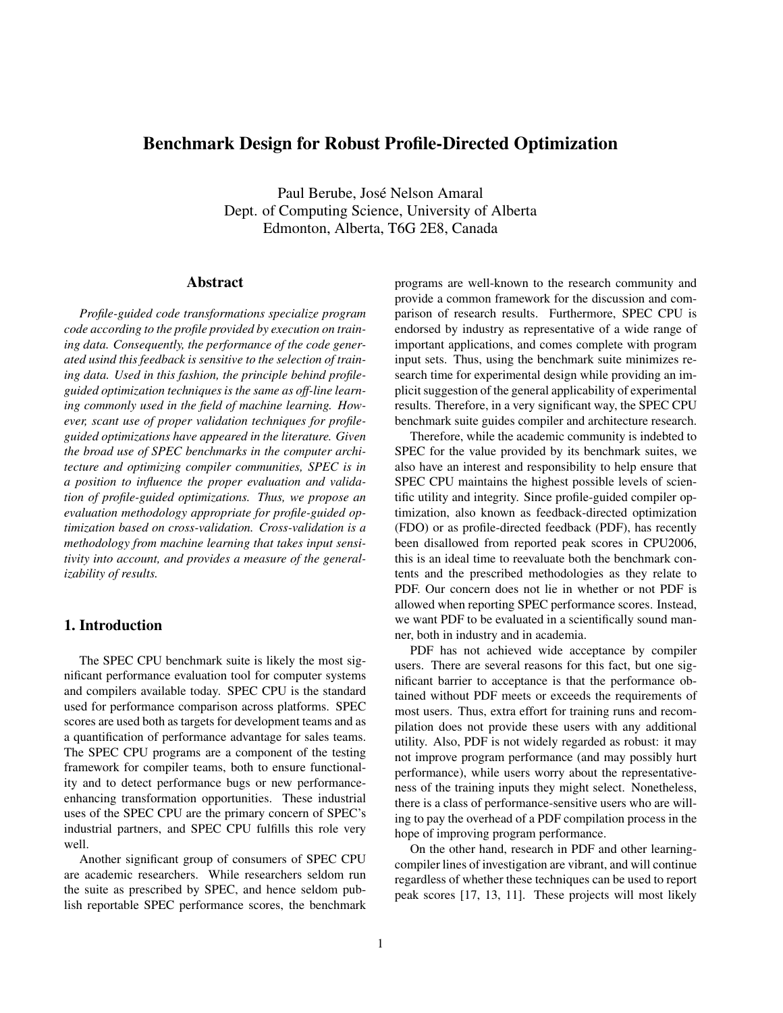# Benchmark Design for Robust Profile-Directed Optimization

Paul Berube, José Nelson Amaral Dept. of Computing Science, University of Alberta Edmonton, Alberta, T6G 2E8, Canada

# Abstract

*Profile-guided code transformations specialize program code according to the profile provided by execution on training data. Consequently, the performance of the code generated usind this feedback is sensitive to the selection of training data. Used in this fashion, the principle behind profileguided optimization techniques is the same as off-line learning commonly used in the field of machine learning. However, scant use of proper validation techniques for profileguided optimizations have appeared in the literature. Given the broad use of SPEC benchmarks in the computer architecture and optimizing compiler communities, SPEC is in a position to influence the proper evaluation and validation of profile-guided optimizations. Thus, we propose an evaluation methodology appropriate for profile-guided optimization based on cross-validation. Cross-validation is a methodology from machine learning that takes input sensitivity into account, and provides a measure of the generalizability of results.*

# 1. Introduction

The SPEC CPU benchmark suite is likely the most significant performance evaluation tool for computer systems and compilers available today. SPEC CPU is the standard used for performance comparison across platforms. SPEC scores are used both as targets for development teams and as a quantification of performance advantage for sales teams. The SPEC CPU programs are a component of the testing framework for compiler teams, both to ensure functionality and to detect performance bugs or new performanceenhancing transformation opportunities. These industrial uses of the SPEC CPU are the primary concern of SPEC's industrial partners, and SPEC CPU fulfills this role very well.

Another significant group of consumers of SPEC CPU are academic researchers. While researchers seldom run the suite as prescribed by SPEC, and hence seldom publish reportable SPEC performance scores, the benchmark programs are well-known to the research community and provide a common framework for the discussion and comparison of research results. Furthermore, SPEC CPU is endorsed by industry as representative of a wide range of important applications, and comes complete with program input sets. Thus, using the benchmark suite minimizes research time for experimental design while providing an implicit suggestion of the general applicability of experimental results. Therefore, in a very significant way, the SPEC CPU benchmark suite guides compiler and architecture research.

Therefore, while the academic community is indebted to SPEC for the value provided by its benchmark suites, we also have an interest and responsibility to help ensure that SPEC CPU maintains the highest possible levels of scientific utility and integrity. Since profile-guided compiler optimization, also known as feedback-directed optimization (FDO) or as profile-directed feedback (PDF), has recently been disallowed from reported peak scores in CPU2006, this is an ideal time to reevaluate both the benchmark contents and the prescribed methodologies as they relate to PDF. Our concern does not lie in whether or not PDF is allowed when reporting SPEC performance scores. Instead, we want PDF to be evaluated in a scientifically sound manner, both in industry and in academia.

PDF has not achieved wide acceptance by compiler users. There are several reasons for this fact, but one significant barrier to acceptance is that the performance obtained without PDF meets or exceeds the requirements of most users. Thus, extra effort for training runs and recompilation does not provide these users with any additional utility. Also, PDF is not widely regarded as robust: it may not improve program performance (and may possibly hurt performance), while users worry about the representativeness of the training inputs they might select. Nonetheless, there is a class of performance-sensitive users who are willing to pay the overhead of a PDF compilation process in the hope of improving program performance.

On the other hand, research in PDF and other learningcompiler lines of investigation are vibrant, and will continue regardless of whether these techniques can be used to report peak scores [17, 13, 11]. These projects will most likely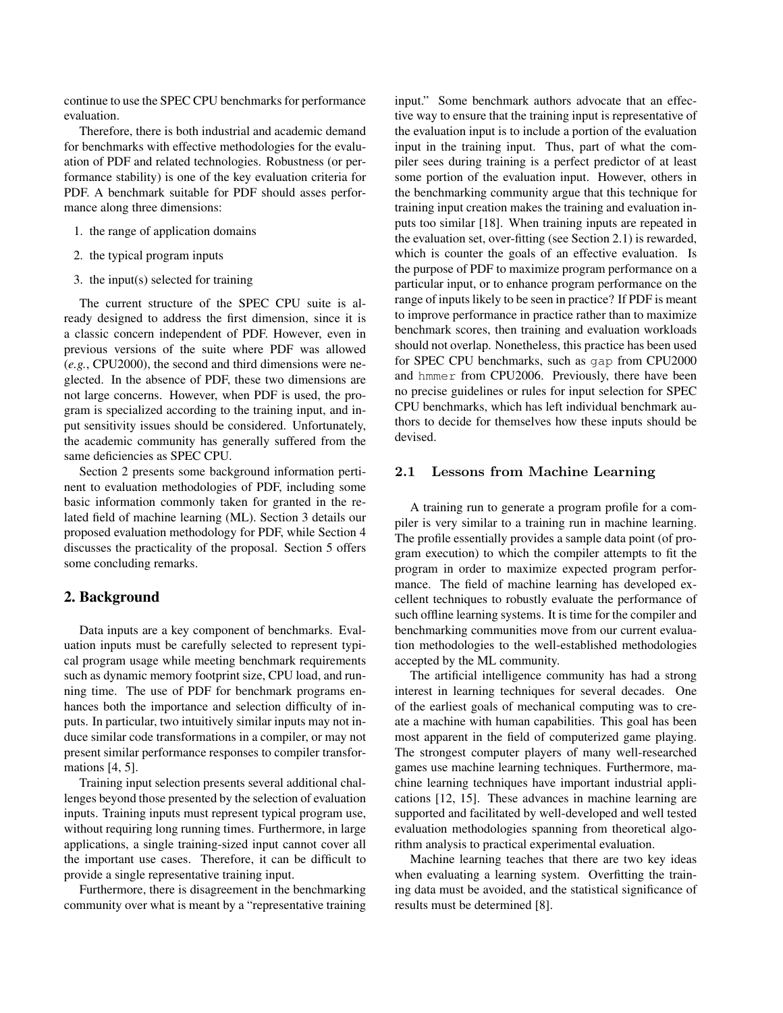continue to use the SPEC CPU benchmarks for performance evaluation.

Therefore, there is both industrial and academic demand for benchmarks with effective methodologies for the evaluation of PDF and related technologies. Robustness (or performance stability) is one of the key evaluation criteria for PDF. A benchmark suitable for PDF should asses performance along three dimensions:

- 1. the range of application domains
- 2. the typical program inputs
- 3. the input(s) selected for training

The current structure of the SPEC CPU suite is already designed to address the first dimension, since it is a classic concern independent of PDF. However, even in previous versions of the suite where PDF was allowed (*e.g.*, CPU2000), the second and third dimensions were neglected. In the absence of PDF, these two dimensions are not large concerns. However, when PDF is used, the program is specialized according to the training input, and input sensitivity issues should be considered. Unfortunately, the academic community has generally suffered from the same deficiencies as SPEC CPU.

Section 2 presents some background information pertinent to evaluation methodologies of PDF, including some basic information commonly taken for granted in the related field of machine learning (ML). Section 3 details our proposed evaluation methodology for PDF, while Section 4 discusses the practicality of the proposal. Section 5 offers some concluding remarks.

## 2. Background

Data inputs are a key component of benchmarks. Evaluation inputs must be carefully selected to represent typical program usage while meeting benchmark requirements such as dynamic memory footprint size, CPU load, and running time. The use of PDF for benchmark programs enhances both the importance and selection difficulty of inputs. In particular, two intuitively similar inputs may not induce similar code transformations in a compiler, or may not present similar performance responses to compiler transformations [4, 5].

Training input selection presents several additional challenges beyond those presented by the selection of evaluation inputs. Training inputs must represent typical program use, without requiring long running times. Furthermore, in large applications, a single training-sized input cannot cover all the important use cases. Therefore, it can be difficult to provide a single representative training input.

Furthermore, there is disagreement in the benchmarking community over what is meant by a "representative training input." Some benchmark authors advocate that an effective way to ensure that the training input is representative of the evaluation input is to include a portion of the evaluation input in the training input. Thus, part of what the compiler sees during training is a perfect predictor of at least some portion of the evaluation input. However, others in the benchmarking community argue that this technique for training input creation makes the training and evaluation inputs too similar [18]. When training inputs are repeated in the evaluation set, over-fitting (see Section 2.1) is rewarded, which is counter the goals of an effective evaluation. Is the purpose of PDF to maximize program performance on a particular input, or to enhance program performance on the range of inputs likely to be seen in practice? If PDF is meant to improve performance in practice rather than to maximize benchmark scores, then training and evaluation workloads should not overlap. Nonetheless, this practice has been used for SPEC CPU benchmarks, such as gap from CPU2000 and hmmer from CPU2006. Previously, there have been no precise guidelines or rules for input selection for SPEC CPU benchmarks, which has left individual benchmark authors to decide for themselves how these inputs should be devised.

#### 2.1 Lessons from Machine Learning

A training run to generate a program profile for a compiler is very similar to a training run in machine learning. The profile essentially provides a sample data point (of program execution) to which the compiler attempts to fit the program in order to maximize expected program performance. The field of machine learning has developed excellent techniques to robustly evaluate the performance of such offline learning systems. It is time for the compiler and benchmarking communities move from our current evaluation methodologies to the well-established methodologies accepted by the ML community.

The artificial intelligence community has had a strong interest in learning techniques for several decades. One of the earliest goals of mechanical computing was to create a machine with human capabilities. This goal has been most apparent in the field of computerized game playing. The strongest computer players of many well-researched games use machine learning techniques. Furthermore, machine learning techniques have important industrial applications [12, 15]. These advances in machine learning are supported and facilitated by well-developed and well tested evaluation methodologies spanning from theoretical algorithm analysis to practical experimental evaluation.

Machine learning teaches that there are two key ideas when evaluating a learning system. Overfitting the training data must be avoided, and the statistical significance of results must be determined [8].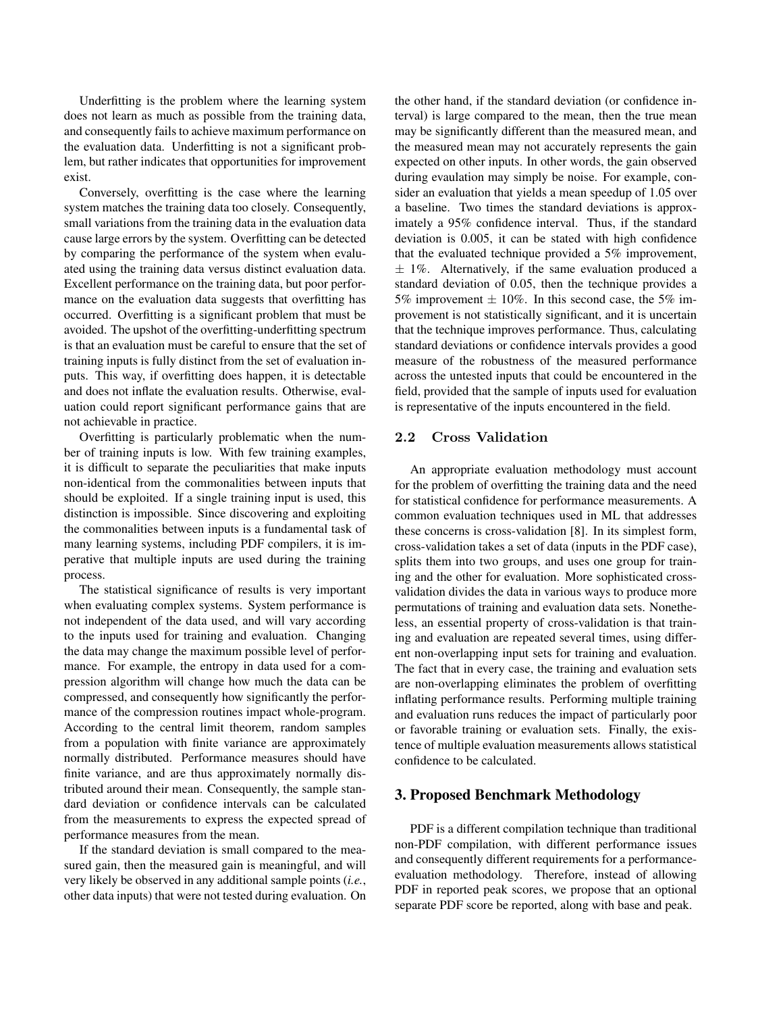Underfitting is the problem where the learning system does not learn as much as possible from the training data, and consequently fails to achieve maximum performance on the evaluation data. Underfitting is not a significant problem, but rather indicates that opportunities for improvement exist.

Conversely, overfitting is the case where the learning system matches the training data too closely. Consequently, small variations from the training data in the evaluation data cause large errors by the system. Overfitting can be detected by comparing the performance of the system when evaluated using the training data versus distinct evaluation data. Excellent performance on the training data, but poor performance on the evaluation data suggests that overfitting has occurred. Overfitting is a significant problem that must be avoided. The upshot of the overfitting-underfitting spectrum is that an evaluation must be careful to ensure that the set of training inputs is fully distinct from the set of evaluation inputs. This way, if overfitting does happen, it is detectable and does not inflate the evaluation results. Otherwise, evaluation could report significant performance gains that are not achievable in practice.

Overfitting is particularly problematic when the number of training inputs is low. With few training examples, it is difficult to separate the peculiarities that make inputs non-identical from the commonalities between inputs that should be exploited. If a single training input is used, this distinction is impossible. Since discovering and exploiting the commonalities between inputs is a fundamental task of many learning systems, including PDF compilers, it is imperative that multiple inputs are used during the training process.

The statistical significance of results is very important when evaluating complex systems. System performance is not independent of the data used, and will vary according to the inputs used for training and evaluation. Changing the data may change the maximum possible level of performance. For example, the entropy in data used for a compression algorithm will change how much the data can be compressed, and consequently how significantly the performance of the compression routines impact whole-program. According to the central limit theorem, random samples from a population with finite variance are approximately normally distributed. Performance measures should have finite variance, and are thus approximately normally distributed around their mean. Consequently, the sample standard deviation or confidence intervals can be calculated from the measurements to express the expected spread of performance measures from the mean.

If the standard deviation is small compared to the measured gain, then the measured gain is meaningful, and will very likely be observed in any additional sample points (*i.e.*, other data inputs) that were not tested during evaluation. On the other hand, if the standard deviation (or confidence interval) is large compared to the mean, then the true mean may be significantly different than the measured mean, and the measured mean may not accurately represents the gain expected on other inputs. In other words, the gain observed during evaulation may simply be noise. For example, consider an evaluation that yields a mean speedup of 1.05 over a baseline. Two times the standard deviations is approximately a 95% confidence interval. Thus, if the standard deviation is 0.005, it can be stated with high confidence that the evaluated technique provided a 5% improvement,  $\pm$  1%. Alternatively, if the same evaluation produced a standard deviation of 0.05, then the technique provides a 5% improvement  $\pm$  10%. In this second case, the 5% improvement is not statistically significant, and it is uncertain that the technique improves performance. Thus, calculating standard deviations or confidence intervals provides a good measure of the robustness of the measured performance across the untested inputs that could be encountered in the field, provided that the sample of inputs used for evaluation is representative of the inputs encountered in the field.

### 2.2 Cross Validation

An appropriate evaluation methodology must account for the problem of overfitting the training data and the need for statistical confidence for performance measurements. A common evaluation techniques used in ML that addresses these concerns is cross-validation [8]. In its simplest form, cross-validation takes a set of data (inputs in the PDF case), splits them into two groups, and uses one group for training and the other for evaluation. More sophisticated crossvalidation divides the data in various ways to produce more permutations of training and evaluation data sets. Nonetheless, an essential property of cross-validation is that training and evaluation are repeated several times, using different non-overlapping input sets for training and evaluation. The fact that in every case, the training and evaluation sets are non-overlapping eliminates the problem of overfitting inflating performance results. Performing multiple training and evaluation runs reduces the impact of particularly poor or favorable training or evaluation sets. Finally, the existence of multiple evaluation measurements allows statistical confidence to be calculated.

## 3. Proposed Benchmark Methodology

PDF is a different compilation technique than traditional non-PDF compilation, with different performance issues and consequently different requirements for a performanceevaluation methodology. Therefore, instead of allowing PDF in reported peak scores, we propose that an optional separate PDF score be reported, along with base and peak.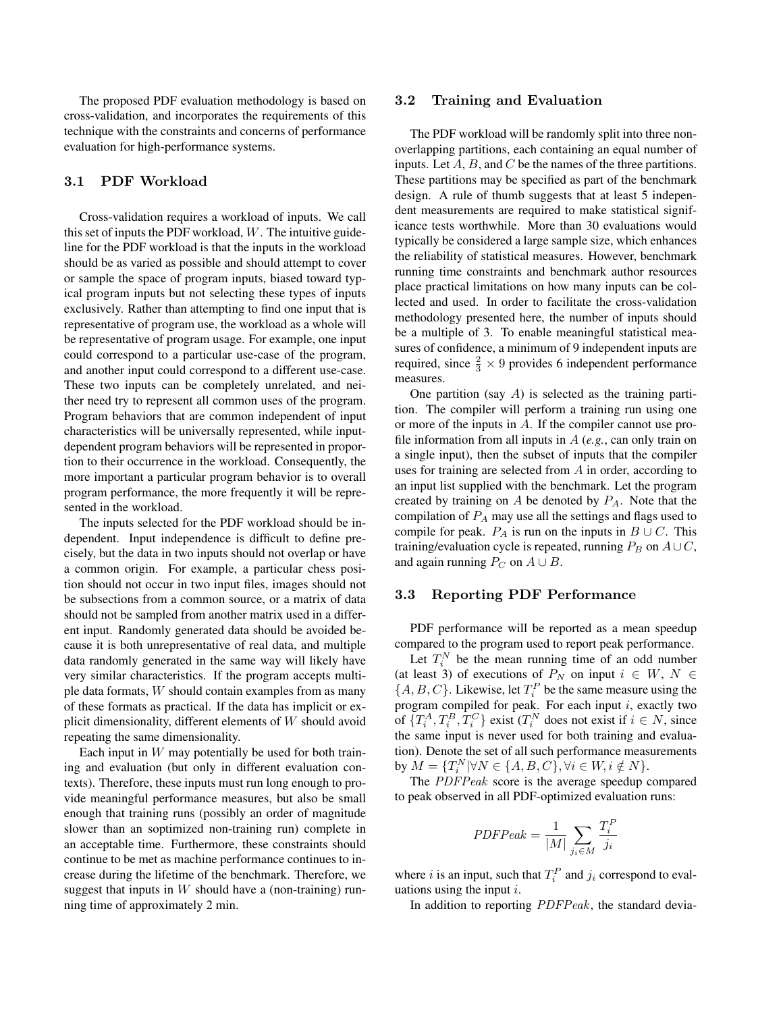The proposed PDF evaluation methodology is based on cross-validation, and incorporates the requirements of this technique with the constraints and concerns of performance evaluation for high-performance systems.

## 3.1 PDF Workload

Cross-validation requires a workload of inputs. We call this set of inputs the PDF workload,  $W$ . The intuitive guideline for the PDF workload is that the inputs in the workload should be as varied as possible and should attempt to cover or sample the space of program inputs, biased toward typical program inputs but not selecting these types of inputs exclusively. Rather than attempting to find one input that is representative of program use, the workload as a whole will be representative of program usage. For example, one input could correspond to a particular use-case of the program, and another input could correspond to a different use-case. These two inputs can be completely unrelated, and neither need try to represent all common uses of the program. Program behaviors that are common independent of input characteristics will be universally represented, while inputdependent program behaviors will be represented in proportion to their occurrence in the workload. Consequently, the more important a particular program behavior is to overall program performance, the more frequently it will be represented in the workload.

The inputs selected for the PDF workload should be independent. Input independence is difficult to define precisely, but the data in two inputs should not overlap or have a common origin. For example, a particular chess position should not occur in two input files, images should not be subsections from a common source, or a matrix of data should not be sampled from another matrix used in a different input. Randomly generated data should be avoided because it is both unrepresentative of real data, and multiple data randomly generated in the same way will likely have very similar characteristics. If the program accepts multiple data formats, W should contain examples from as many of these formats as practical. If the data has implicit or explicit dimensionality, different elements of  $W$  should avoid repeating the same dimensionality.

Each input in  $W$  may potentially be used for both training and evaluation (but only in different evaluation contexts). Therefore, these inputs must run long enough to provide meaningful performance measures, but also be small enough that training runs (possibly an order of magnitude slower than an soptimized non-training run) complete in an acceptable time. Furthermore, these constraints should continue to be met as machine performance continues to increase during the lifetime of the benchmark. Therefore, we suggest that inputs in  $W$  should have a (non-training) running time of approximately 2 min.

#### 3.2 Training and Evaluation

The PDF workload will be randomly split into three nonoverlapping partitions, each containing an equal number of inputs. Let  $A, B$ , and  $C$  be the names of the three partitions. These partitions may be specified as part of the benchmark design. A rule of thumb suggests that at least 5 independent measurements are required to make statistical significance tests worthwhile. More than 30 evaluations would typically be considered a large sample size, which enhances the reliability of statistical measures. However, benchmark running time constraints and benchmark author resources place practical limitations on how many inputs can be collected and used. In order to facilitate the cross-validation methodology presented here, the number of inputs should be a multiple of 3. To enable meaningful statistical measures of confidence, a minimum of 9 independent inputs are required, since  $\frac{2}{3} \times 9$  provides 6 independent performance measures.

One partition (say  $A$ ) is selected as the training partition. The compiler will perform a training run using one or more of the inputs in A. If the compiler cannot use profile information from all inputs in A (*e.g.*, can only train on a single input), then the subset of inputs that the compiler uses for training are selected from A in order, according to an input list supplied with the benchmark. Let the program created by training on  $A$  be denoted by  $P_A$ . Note that the compilation of  $P_A$  may use all the settings and flags used to compile for peak.  $P_A$  is run on the inputs in  $B \cup C$ . This training/evaluation cycle is repeated, running  $P_B$  on  $A\cup C$ , and again running  $P_C$  on  $A \cup B$ .

#### 3.3 Reporting PDF Performance

PDF performance will be reported as a mean speedup compared to the program used to report peak performance.

Let  $T_i^N$  be the mean running time of an odd number (at least 3) of executions of  $P_N$  on input  $i \in W$ ,  $N \in$  $\{A, B, C\}$ . Likewise, let  $T_i^P$  be the same measure using the program compiled for peak. For each input  $i$ , exactly two of  $\{T_i^A, T_i^B, T_i^C\}$  exist  $(T_i^N$  does not exist if  $i \in N$ , since the same input is never used for both training and evaluation). Denote the set of all such performance measurements by  $M = \{T_i^N | \forall N \in \{A, B, C\}, \forall i \in W, i \notin N\}.$ 

The PDFPeak score is the average speedup compared to peak observed in all PDF-optimized evaluation runs:

$$
PDFPeak = \frac{1}{|M|} \sum_{j_i \in M} \frac{T_i^P}{j_i}
$$

where *i* is an input, such that  $T_i^P$  and  $j_i$  correspond to evaluations using the input  $i$ .

In addition to reporting PDFPeak, the standard devia-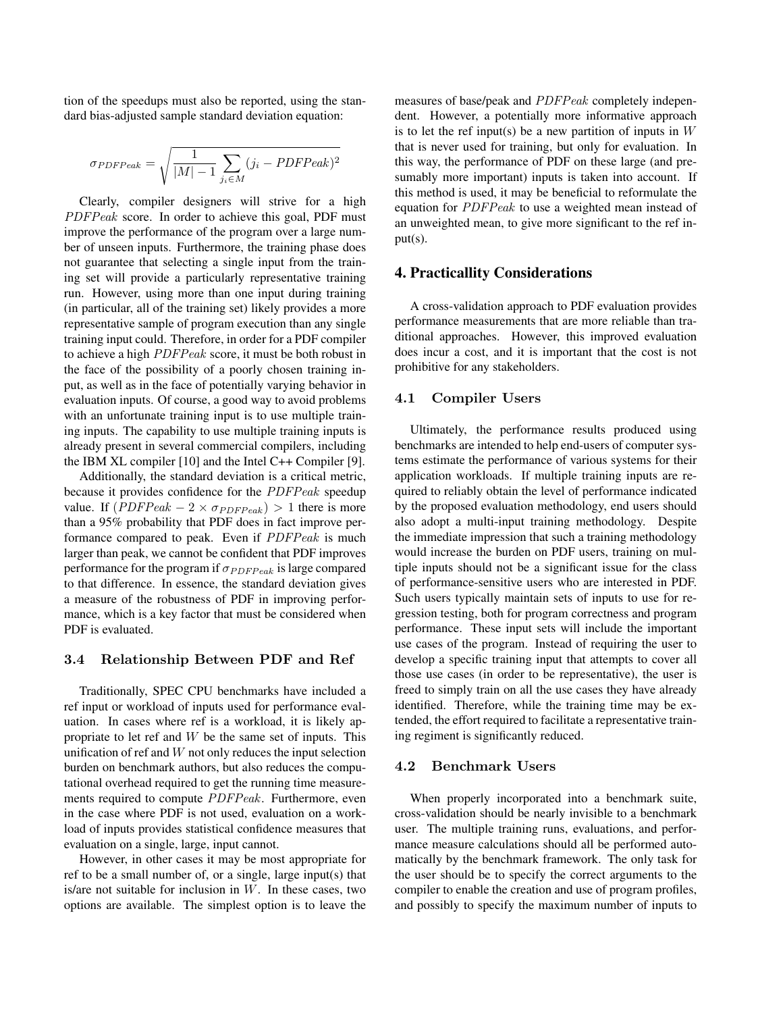tion of the speedups must also be reported, using the standard bias-adjusted sample standard deviation equation:

$$
\sigma_{PDFPeak} = \sqrt{\frac{1}{|M| - 1} \sum_{j_i \in M} (j_i - PDFPeak)^2}
$$

Clearly, compiler designers will strive for a high PDFPeak score. In order to achieve this goal, PDF must improve the performance of the program over a large number of unseen inputs. Furthermore, the training phase does not guarantee that selecting a single input from the training set will provide a particularly representative training run. However, using more than one input during training (in particular, all of the training set) likely provides a more representative sample of program execution than any single training input could. Therefore, in order for a PDF compiler to achieve a high PDFPeak score, it must be both robust in the face of the possibility of a poorly chosen training input, as well as in the face of potentially varying behavior in evaluation inputs. Of course, a good way to avoid problems with an unfortunate training input is to use multiple training inputs. The capability to use multiple training inputs is already present in several commercial compilers, including the IBM XL compiler [10] and the Intel C++ Compiler [9].

Additionally, the standard deviation is a critical metric, because it provides confidence for the PDFPeak speedup value. If  $(PDFPeak - 2 \times \sigma_{PDFPeak}) > 1$  there is more than a 95% probability that PDF does in fact improve performance compared to peak. Even if PDFPeak is much larger than peak, we cannot be confident that PDF improves performance for the program if  $\sigma_{PDFPeak}$  is large compared to that difference. In essence, the standard deviation gives a measure of the robustness of PDF in improving performance, which is a key factor that must be considered when PDF is evaluated.

#### 3.4 Relationship Between PDF and Ref

Traditionally, SPEC CPU benchmarks have included a ref input or workload of inputs used for performance evaluation. In cases where ref is a workload, it is likely appropriate to let ref and  $W$  be the same set of inputs. This unification of ref and  $W$  not only reduces the input selection burden on benchmark authors, but also reduces the computational overhead required to get the running time measurements required to compute PDFPeak. Furthermore, even in the case where PDF is not used, evaluation on a workload of inputs provides statistical confidence measures that evaluation on a single, large, input cannot.

However, in other cases it may be most appropriate for ref to be a small number of, or a single, large input(s) that is/are not suitable for inclusion in  $W$ . In these cases, two options are available. The simplest option is to leave the measures of base/peak and PDFPeak completely independent. However, a potentially more informative approach is to let the ref input(s) be a new partition of inputs in  $W$ that is never used for training, but only for evaluation. In this way, the performance of PDF on these large (and presumably more important) inputs is taken into account. If this method is used, it may be beneficial to reformulate the equation for PDFPeak to use a weighted mean instead of an unweighted mean, to give more significant to the ref input(s).

### 4. Practicallity Considerations

A cross-validation approach to PDF evaluation provides performance measurements that are more reliable than traditional approaches. However, this improved evaluation does incur a cost, and it is important that the cost is not prohibitive for any stakeholders.

### 4.1 Compiler Users

Ultimately, the performance results produced using benchmarks are intended to help end-users of computer systems estimate the performance of various systems for their application workloads. If multiple training inputs are required to reliably obtain the level of performance indicated by the proposed evaluation methodology, end users should also adopt a multi-input training methodology. Despite the immediate impression that such a training methodology would increase the burden on PDF users, training on multiple inputs should not be a significant issue for the class of performance-sensitive users who are interested in PDF. Such users typically maintain sets of inputs to use for regression testing, both for program correctness and program performance. These input sets will include the important use cases of the program. Instead of requiring the user to develop a specific training input that attempts to cover all those use cases (in order to be representative), the user is freed to simply train on all the use cases they have already identified. Therefore, while the training time may be extended, the effort required to facilitate a representative training regiment is significantly reduced.

## 4.2 Benchmark Users

When properly incorporated into a benchmark suite, cross-validation should be nearly invisible to a benchmark user. The multiple training runs, evaluations, and performance measure calculations should all be performed automatically by the benchmark framework. The only task for the user should be to specify the correct arguments to the compiler to enable the creation and use of program profiles, and possibly to specify the maximum number of inputs to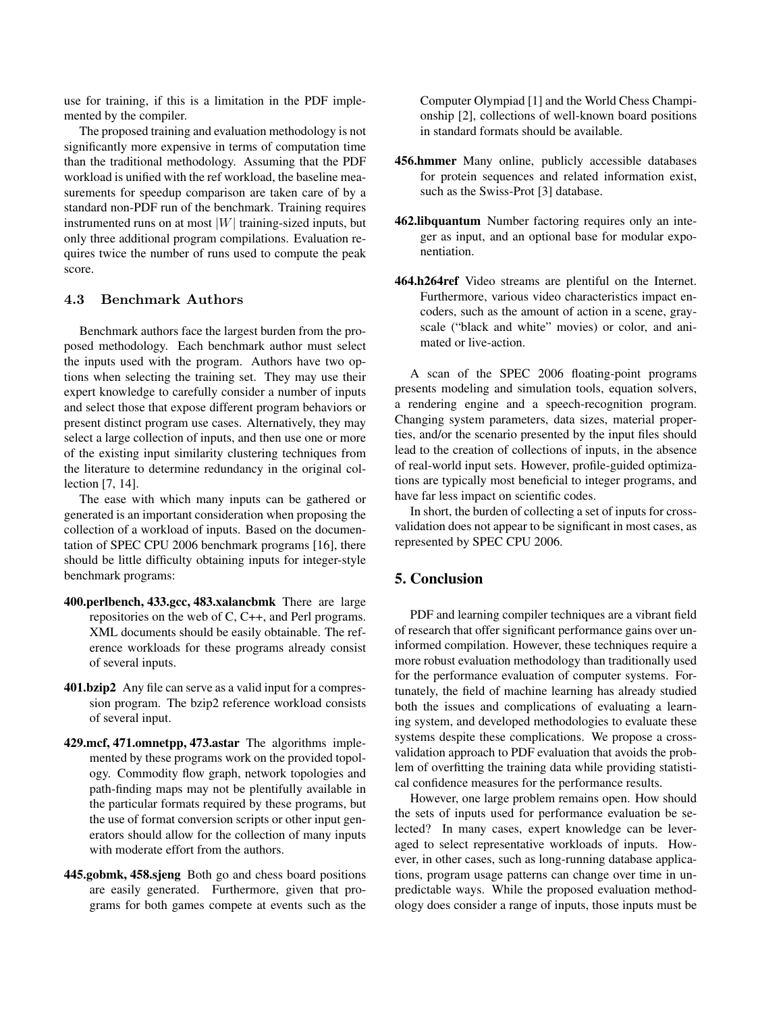use for training, if this is a limitation in the PDF implemented by the compiler.

The proposed training and evaluation methodology is not significantly more expensive in terms of computation time than the traditional methodology. Assuming that the PDF workload is unified with the ref workload, the baseline measurements for speedup comparison are taken care of by a standard non-PDF run of the benchmark. Training requires instrumented runs on at most  $|W|$  training-sized inputs, but only three additional program compilations. Evaluation requires twice the number of runs used to compute the peak score.

#### 4.3 Benchmark Authors

Benchmark authors face the largest burden from the proposed methodology. Each benchmark author must select the inputs used with the program. Authors have two options when selecting the training set. They may use their expert knowledge to carefully consider a number of inputs and select those that expose different program behaviors or present distinct program use cases. Alternatively, they may select a large collection of inputs, and then use one or more of the existing input similarity clustering techniques from the literature to determine redundancy in the original collection [7, 14].

The ease with which many inputs can be gathered or generated is an important consideration when proposing the collection of a workload of inputs. Based on the documentation of SPEC CPU 2006 benchmark programs [16], there should be little difficulty obtaining inputs for integer-style benchmark programs:

- 400.perlbench, 433.gcc, 483.xalancbmk There are large repositories on the web of C, C++, and Perl programs. XML documents should be easily obtainable. The reference workloads for these programs already consist of several inputs.
- 401.bzip2 Any file can serve as a valid input for a compression program. The bzip2 reference workload consists of several input.
- 429.mcf, 471.omnetpp, 473.astar The algorithms implemented by these programs work on the provided topology. Commodity flow graph, network topologies and path-finding maps may not be plentifully available in the particular formats required by these programs, but the use of format conversion scripts or other input generators should allow for the collection of many inputs with moderate effort from the authors.
- 445.gobmk, 458.sjeng Both go and chess board positions are easily generated. Furthermore, given that programs for both games compete at events such as the

Computer Olympiad [1] and the World Chess Championship [2], collections of well-known board positions in standard formats should be available.

- 456.hmmer Many online, publicly accessible databases for protein sequences and related information exist, such as the Swiss-Prot [3] database.
- 462.libquantum Number factoring requires only an integer as input, and an optional base for modular exponentiation.
- 464.h264ref Video streams are plentiful on the Internet. Furthermore, various video characteristics impact encoders, such as the amount of action in a scene, grayscale ("black and white" movies) or color, and animated or live-action.

A scan of the SPEC 2006 floating-point programs presents modeling and simulation tools, equation solvers, a rendering engine and a speech-recognition program. Changing system parameters, data sizes, material properties, and/or the scenario presented by the input files should lead to the creation of collections of inputs, in the absence of real-world input sets. However, profile-guided optimizations are typically most beneficial to integer programs, and have far less impact on scientific codes.

In short, the burden of collecting a set of inputs for crossvalidation does not appear to be significant in most cases, as represented by SPEC CPU 2006.

# 5. Conclusion

PDF and learning compiler techniques are a vibrant field of research that offer significant performance gains over uninformed compilation. However, these techniques require a more robust evaluation methodology than traditionally used for the performance evaluation of computer systems. Fortunately, the field of machine learning has already studied both the issues and complications of evaluating a learning system, and developed methodologies to evaluate these systems despite these complications. We propose a crossvalidation approach to PDF evaluation that avoids the problem of overfitting the training data while providing statistical confidence measures for the performance results.

However, one large problem remains open. How should the sets of inputs used for performance evaluation be selected? In many cases, expert knowledge can be leveraged to select representative workloads of inputs. However, in other cases, such as long-running database applications, program usage patterns can change over time in unpredictable ways. While the proposed evaluation methodology does consider a range of inputs, those inputs must be